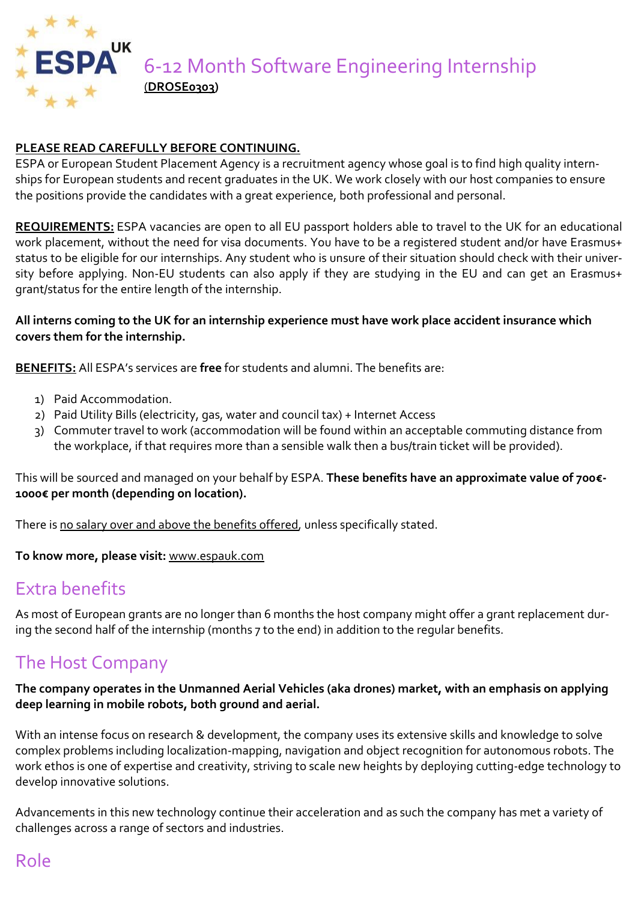

### **PLEASE READ CAREFULLY BEFORE CONTINUING.**

ESPA or European Student Placement Agency is a recruitment agency whose goal is to find high quality internships for European students and recent graduates in the UK. We work closely with our host companies to ensure the positions provide the candidates with a great experience, both professional and personal.

**REQUIREMENTS:** ESPA vacancies are open to all EU passport holders able to travel to the UK for an educational work placement, without the need for visa documents. You have to be a registered student and/or have Erasmus+ status to be eligible for our internships. Any student who is unsure of their situation should check with their university before applying. Non-EU students can also apply if they are studying in the EU and can get an Erasmus+ grant/status for the entire length of the internship.

#### **All interns coming to the UK for an internship experience must have work place accident insurance which covers them for the internship.**

**BENEFITS:** All ESPA's services are **free** for students and alumni. The benefits are:

- 1) Paid Accommodation.
- 2) Paid Utility Bills (electricity, gas, water and council tax) + Internet Access
- 3) Commuter travel to work (accommodation will be found within an acceptable commuting distance from the workplace, if that requires more than a sensible walk then a bus/train ticket will be provided).

This will be sourced and managed on your behalf by ESPA. **These benefits have an approximate value of 700€- 1000€ per month (depending on location).**

There is no salary over and above the benefits offered, unless specifically stated.

**To know more, please visit:** [www.espauk.com](http://www.espauk.com/)

# Extra benefits

As most of European grants are no longer than 6 months the host company might offer a grant replacement during the second half of the internship (months 7 to the end) in addition to the regular benefits.

# The Host Company

### **The company operates in the Unmanned Aerial Vehicles (aka drones) market, with an emphasis on applying deep learning in mobile robots, both ground and aerial.**

With an intense focus on research & development, the company uses its extensive skills and knowledge to solve complex problems including localization-mapping, navigation and object recognition for autonomous robots. The work ethos is one of expertise and creativity, striving to scale new heights by deploying cutting-edge technology to develop innovative solutions.

Advancements in this new technology continue their acceleration and as such the company has met a variety of challenges across a range of sectors and industries.

# Role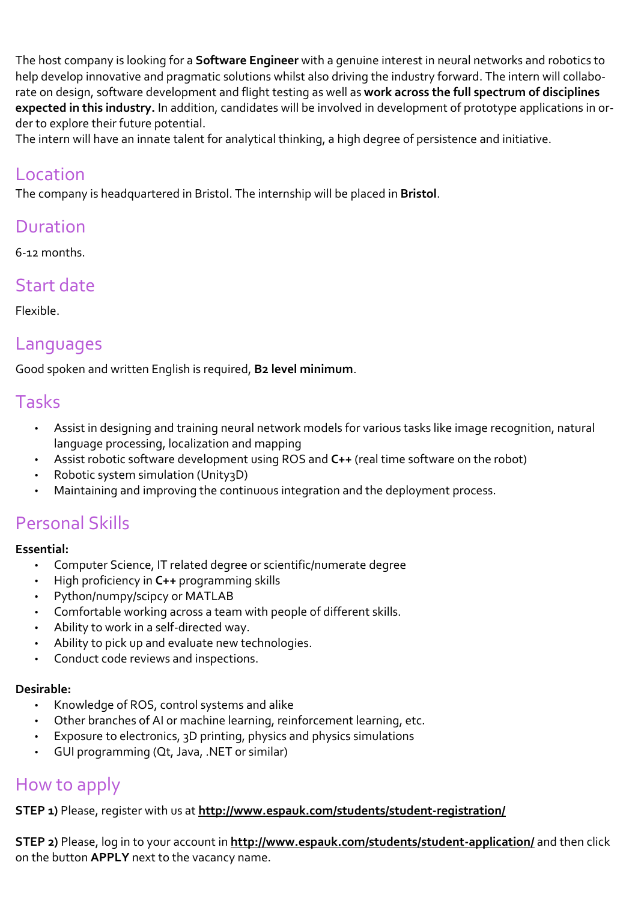The host company is looking for a **Software Engineer** with a genuine interest in neural networks and robotics to help develop innovative and pragmatic solutions whilst also driving the industry forward. The intern will collaborate on design, software development and flight testing as well as **work across the full spectrum of disciplines expected in this industry.** In addition, candidates will be involved in development of prototype applications in order to explore their future potential.

The intern will have an innate talent for analytical thinking, a high degree of persistence and initiative.

### Location

The company is headquartered in Bristol. The internship will be placed in **Bristol**.

## Duration

6-12 months.

# Start date

Flexible.

## Languages

Good spoken and written English is required, **B2 level minimum**.

### Tasks

- Assist in designing and training neural network models for various tasks like image recognition, natural language processing, localization and mapping
- Assist robotic software development using ROS and **C++** (real time software on the robot)
- Robotic system simulation (Unity3D)
- Maintaining and improving the continuous integration and the deployment process.

# Personal Skills

#### **Essential:**

- Computer Science, IT related degree or scientific/numerate degree
- High proficiency in **C++** programming skills
- Python/numpy/scipcy or MATLAB
- Comfortable working across a team with people of different skills.
- Ability to work in a self-directed way.
- Ability to pick up and evaluate new technologies.
- Conduct code reviews and inspections.

### **Desirable:**

- Knowledge of ROS, control systems and alike
- Other branches of AI or machine learning, reinforcement learning, etc.
- Exposure to electronics, 3D printing, physics and physics simulations
- GUI programming (Qt, Java, .NET or similar)

# How to apply

**STEP 1**) Please, register with us at <http://www.espauk.com/students/student-registration/>

**STEP 2)** Please, log in to your account in **<http://www.espauk.com/students/student-application/>** and then click on the button **APPLY** next to the vacancy name.